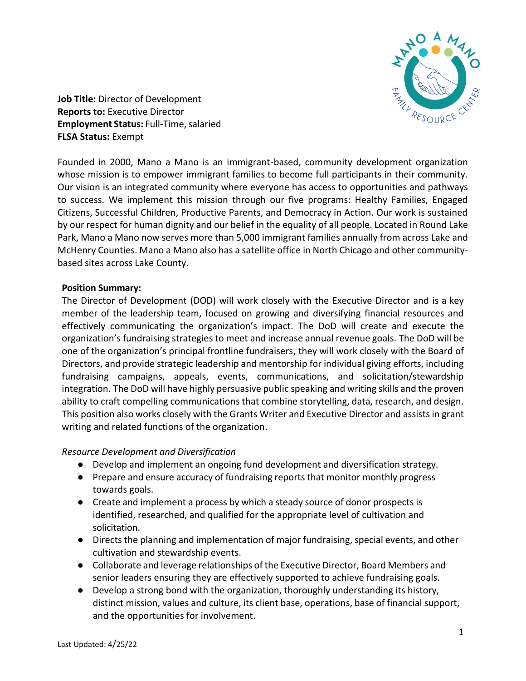

**Job Title:** Director of Development **Reports to:** Executive Director **Employment Status: Full-Time, salaried FLSA Status:** Exempt

Founded in 2000, Mano a Mano is an immigrant-based, community development organization whose mission is to empower immigrant families to become full participants in their community. Our vision is an integrated community where everyone has access to opportunities and pathways to success. We implement this mission through our five programs: Healthy Families, Engaged Citizens, Successful Children, Productive Parents, and Democracy in Action. Our work is sustained by our respect for human dignity and our belief in the equality of all people. Located in Round Lake Park, Mano a Mano now serves more than 5,000 immigrant families annually from across Lake and McHenry Counties. Mano a Mano also has a satellite office in North Chicago and other communitybased sites across Lake County.

## **Position Summary:**

The Director of Development (DOD) will work closely with the Executive Director and is a key member of the leadership team, focused on growing and diversifying financial resources and effectively communicating the organization's impact. The DoD will create and execute the organization's fundraising strategies to meet and increase annual revenue goals. The DoD will be one of the organization's principal frontline fundraisers, they will work closely with the Board of Directors, and provide strategic leadership and mentorship for individual giving efforts, including fundraising campaigns, appeals, events, communications, and solicitation/stewardship integration. The DoD will have highly persuasive public speaking and writing skills and the proven ability to craft compelling communications that combine storytelling, data, research, and design. This position also works closely with the Grants Writer and Executive Director and assists in grant writing and related functions of the organization.

## *Resource Development and Diversification*

- Develop and implement an ongoing fund development and diversification strategy.
- Prepare and ensure accuracy of fundraising reports that monitor monthly progress towards goals.
- Create and implement a process by which a steady source of donor prospects is identified, researched, and qualified for the appropriate level of cultivation and solicitation.
- Directs the planning and implementation of major fundraising, special events, and other cultivation and stewardship events.
- Collaborate and leverage relationships of the Executive Director, Board Members and senior leaders ensuring they are effectively supported to achieve fundraising goals.
- Develop a strong bond with the organization, thoroughly understanding its history, distinct mission, values and culture, its client base, operations, base of financial support, and the opportunities for involvement.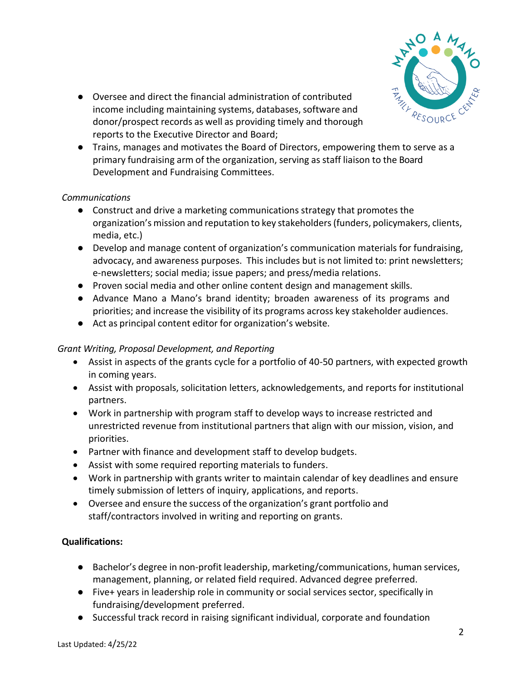

- Oversee and direct the financial administration of contributed income including maintaining systems, databases, software and donor/prospect records as well as providing timely and thorough reports to the Executive Director and Board;
- Trains, manages and motivates the Board of Directors, empowering them to serve as a primary fundraising arm of the organization, serving as staff liaison to the Board Development and Fundraising Committees.

## *Communications*

- Construct and drive a marketing communications strategy that promotes the organization's mission and reputation to key stakeholders(funders, policymakers, clients, media, etc.)
- Develop and manage content of organization's communication materials for fundraising, advocacy, and awareness purposes. This includes but is not limited to: print newsletters; e-newsletters; social media; issue papers; and press/media relations.
- Proven social media and other online content design and management skills.
- Advance Mano a Mano's brand identity; broaden awareness of its programs and priorities; and increase the visibility of its programs across key stakeholder audiences.
- Act as principal content editor for organization's website.

# *Grant Writing, Proposal Development, and Reporting*

- Assist in aspects of the grants cycle for a portfolio of 40-50 partners, with expected growth in coming years.
- Assist with proposals, solicitation letters, acknowledgements, and reports for institutional partners.
- Work in partnership with program staff to develop ways to increase restricted and unrestricted revenue from institutional partners that align with our mission, vision, and priorities.
- Partner with finance and development staff to develop budgets.
- Assist with some required reporting materials to funders.
- Work in partnership with grants writer to maintain calendar of key deadlines and ensure timely submission of letters of inquiry, applications, and reports.
- Oversee and ensure the success of the organization's grant portfolio and staff/contractors involved in writing and reporting on grants.

# **Qualifications:**

- Bachelor's degree in non-profit leadership, marketing/communications, human services, management, planning, or related field required. Advanced degree preferred.
- Five+ years in leadership role in community or social services sector, specifically in fundraising/development preferred.
- Successful track record in raising significant individual, corporate and foundation